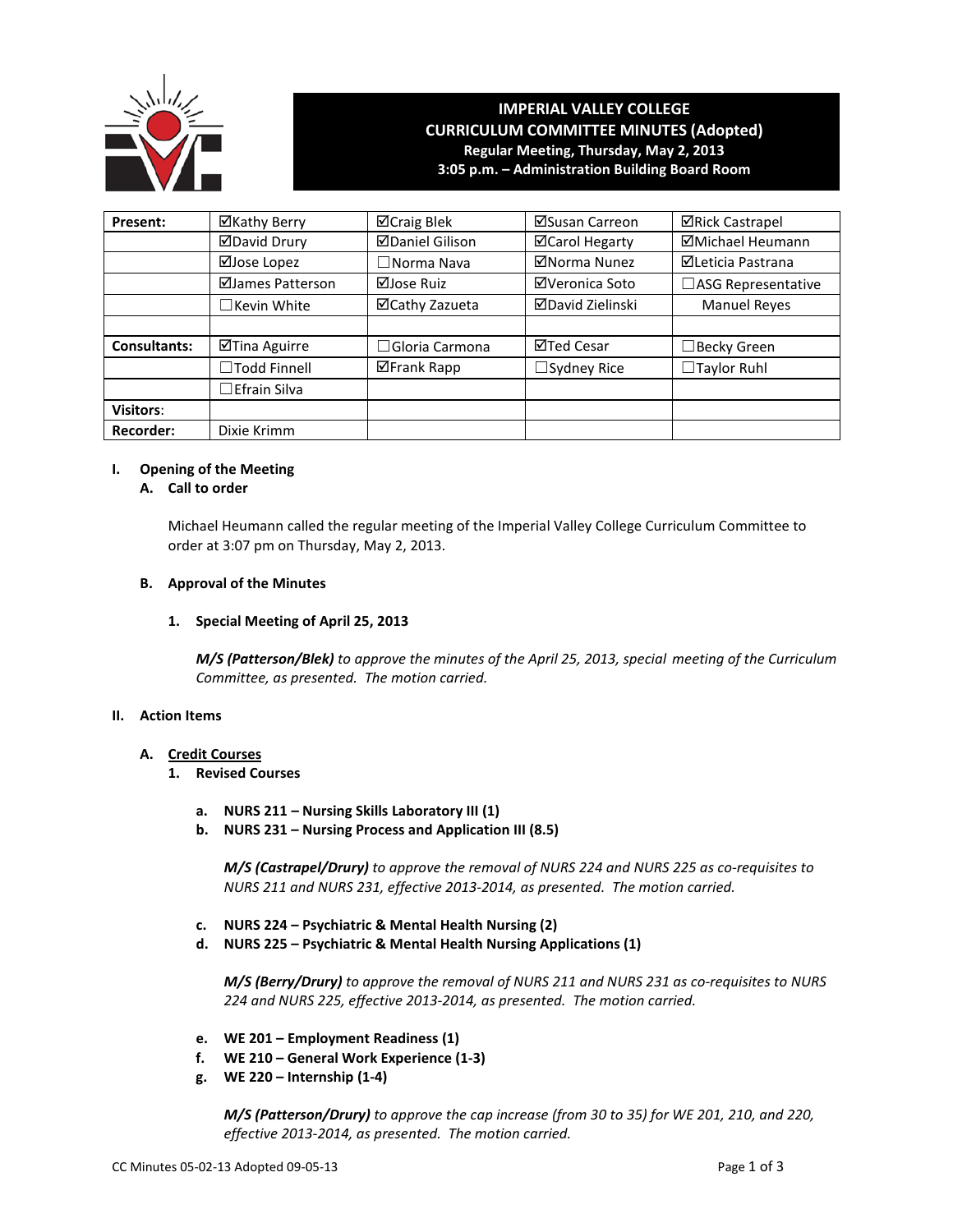

# **IMPERIAL VALLEY COLLEGE CURRICULUM COMMITTEE MINUTES (Adopted) Regular Meeting, Thursday, May 2, 2013 3:05 p.m. – Administration Building Board Room**

| Present:            | ⊠Kathy Berry        | ⊠Craig Blek            | ⊠Susan Carreon          | <b>⊠Rick Castrapel</b>   |  |
|---------------------|---------------------|------------------------|-------------------------|--------------------------|--|
|                     | <b>ØDavid Drury</b> | <b>ØDaniel Gilison</b> | <b>ØCarol Hegarty</b>   | <b>ØMichael Heumann</b>  |  |
|                     | ⊠Jose Lopez         | $\square$ Norma Nava   | ⊠Norma Nunez            | <b>⊠Leticia Pastrana</b> |  |
|                     | ⊠James Patterson    | ⊠Jose Ruiz             | ⊠Veronica Soto          | □ASG Representative      |  |
|                     | $\Box$ Kevin White  | ⊠Cathy Zazueta         | <b>ØDavid Zielinski</b> | <b>Manuel Reyes</b>      |  |
|                     |                     |                        |                         |                          |  |
| <b>Consultants:</b> | ⊠Tina Aguirre       | $\Box$ Gloria Carmona  | ⊠Ted Cesar              | $\Box$ Becky Green       |  |
|                     | □Todd Finnell       | ⊠Frank Rapp            | $\Box$ Sydney Rice      | $\Box$ Taylor Ruhl       |  |
|                     | $\Box$ Efrain Silva |                        |                         |                          |  |
| <b>Visitors:</b>    |                     |                        |                         |                          |  |
| <b>Recorder:</b>    | Dixie Krimm         |                        |                         |                          |  |

# **I. Opening of the Meeting**

# **A. Call to order**

Michael Heumann called the regular meeting of the Imperial Valley College Curriculum Committee to order at 3:07 pm on Thursday, May 2, 2013.

# **B. Approval of the Minutes**

# **1. Special Meeting of April 25, 2013**

*M/S (Patterson/Blek) to approve the minutes of the April 25, 2013, special meeting of the Curriculum Committee, as presented. The motion carried.*

#### **II. Action Items**

# **A. Credit Courses**

- **1. Revised Courses**
	- **a. NURS 211 – Nursing Skills Laboratory III (1)**
	- **b. NURS 231 – Nursing Process and Application III (8.5)**

*M/S (Castrapel/Drury) to approve the removal of NURS 224 and NURS 225 as co-requisites to NURS 211 and NURS 231, effective 2013-2014, as presented. The motion carried.*

- **c. NURS 224 – Psychiatric & Mental Health Nursing (2)**
- **d. NURS 225 – Psychiatric & Mental Health Nursing Applications (1)**

*M/S (Berry/Drury) to approve the removal of NURS 211 and NURS 231 as co-requisites to NURS 224 and NURS 225, effective 2013-2014, as presented. The motion carried.*

- **e. WE 201 – Employment Readiness (1)**
- **f. WE 210 – General Work Experience (1-3)**
- **g. WE 220 – Internship (1-4)**

*M/S (Patterson/Drury) to approve the cap increase (from 30 to 35) for WE 201, 210, and 220, effective 2013-2014, as presented. The motion carried.*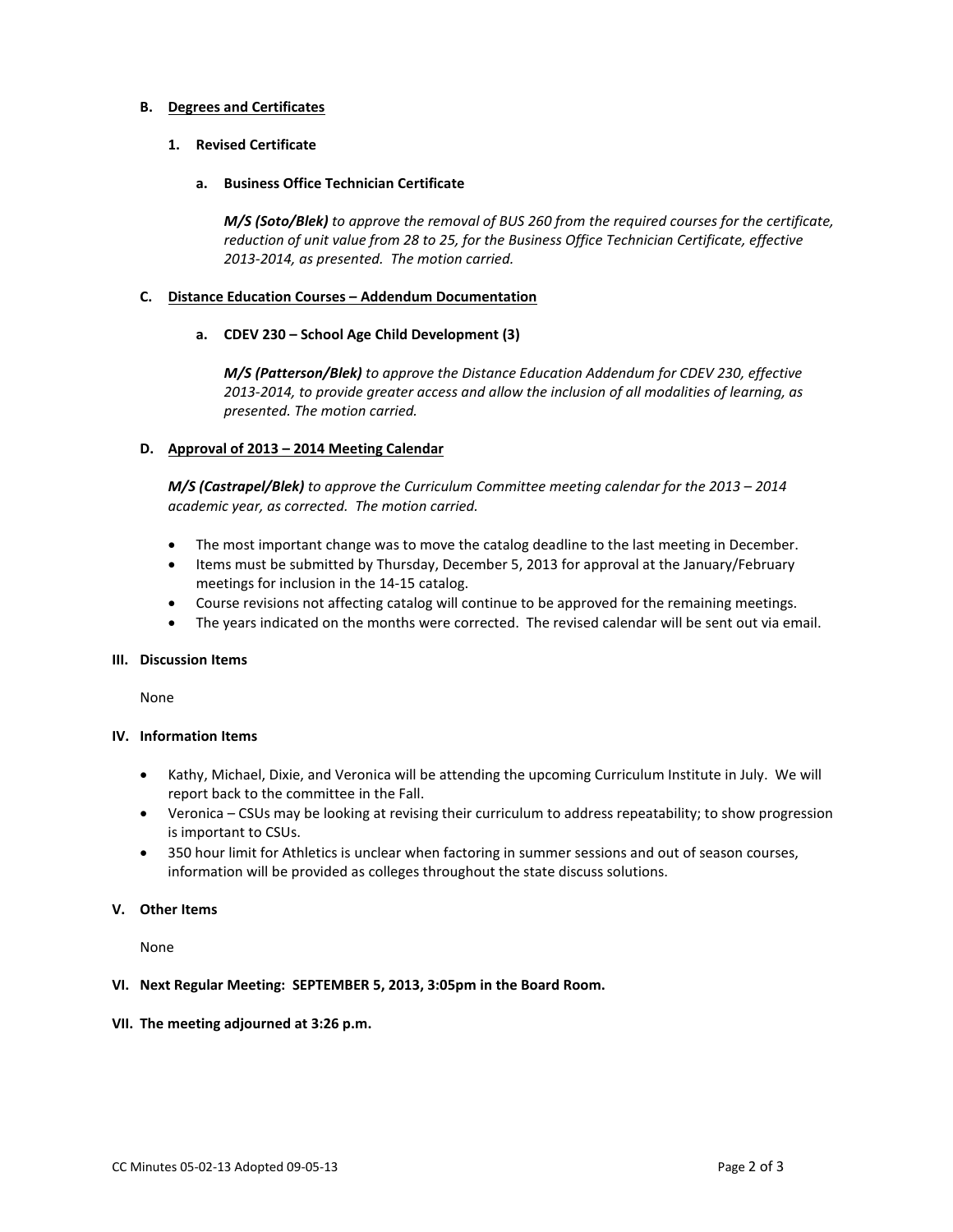# **B. Degrees and Certificates**

# **1. Revised Certificate**

**a. Business Office Technician Certificate**

*M/S (Soto/Blek) to approve the removal of BUS 260 from the required courses for the certificate, reduction of unit value from 28 to 25, for the Business Office Technician Certificate, effective 2013-2014, as presented. The motion carried.*

#### **C. Distance Education Courses – Addendum Documentation**

#### **a. CDEV 230 – School Age Child Development (3)**

*M/S (Patterson/Blek) to approve the Distance Education Addendum for CDEV 230, effective 2013-2014, to provide greater access and allow the inclusion of all modalities of learning, as presented. The motion carried.*

# **D. Approval of 2013 – 2014 Meeting Calendar**

*M/S (Castrapel/Blek) to approve the Curriculum Committee meeting calendar for the 2013 – 2014 academic year, as corrected. The motion carried.*

- The most important change was to move the catalog deadline to the last meeting in December.
- Items must be submitted by Thursday, December 5, 2013 for approval at the January/February meetings for inclusion in the 14-15 catalog.
- Course revisions not affecting catalog will continue to be approved for the remaining meetings.
- The years indicated on the months were corrected. The revised calendar will be sent out via email.

#### **III. Discussion Items**

None

# **IV. Information Items**

- Kathy, Michael, Dixie, and Veronica will be attending the upcoming Curriculum Institute in July. We will report back to the committee in the Fall.
- Veronica CSUs may be looking at revising their curriculum to address repeatability; to show progression is important to CSUs.
- 350 hour limit for Athletics is unclear when factoring in summer sessions and out of season courses, information will be provided as colleges throughout the state discuss solutions.

# **V. Other Items**

None

#### **VI. Next Regular Meeting: SEPTEMBER 5, 2013, 3:05pm in the Board Room.**

#### **VII. The meeting adjourned at 3:26 p.m.**